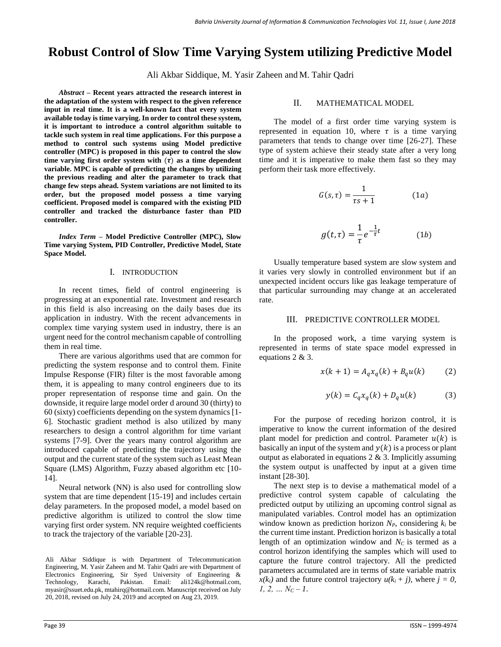# **Robust Control of Slow Time Varying System utilizing Predictive Model**

Ali Akbar Siddique, M. Yasir Zaheen and M. Tahir Qadri

*Abstract –* **Recent years attracted the research interest in the adaptation of the system with respect to the given reference input in real time. It is a well-known fact that every system available today is time varying. In order to control these system, it is important to introduce a control algorithm suitable to tackle such system in real time applications. For this purpose a method to control such systems using Model predictive controller (MPC) is proposed in this paper to control the slow**  time varying first order system with  $(\tau)$  as a time dependent **variable. MPC is capable of predicting the changes by utilizing the previous reading and alter the parameter to track that change few steps ahead. System variations are not limited to its order, but the proposed model possess a time varying coefficient. Proposed model is compared with the existing PID controller and tracked the disturbance faster than PID controller.**

*Index Term –* **Model Predictive Controller (MPC), Slow Time varying System, PID Controller, Predictive Model, State Space Model.**

#### I. INTRODUCTION

In recent times, field of control engineering is progressing at an exponential rate. Investment and research in this field is also increasing on the daily bases due its application in industry. With the recent advancements in complex time varying system used in industry, there is an urgent need for the control mechanism capable of controlling them in real time.

There are various algorithms used that are common for predicting the system response and to control them. Finite Impulse Response (FIR) filter is the most favorable among them, it is appealing to many control engineers due to its proper representation of response time and gain. On the downside, it require large model order d around 30 (thirty) to 60 (sixty) coefficients depending on the system dynamics [1- 6]. Stochastic gradient method is also utilized by many researchers to design a control algorithm for time variant systems [7-9]. Over the years many control algorithm are introduced capable of predicting the trajectory using the output and the current state of the system such as Least Mean Square (LMS) Algorithm, Fuzzy abased algorithm etc [10-14].

Neural network (NN) is also used for controlling slow system that are time dependent [15-19] and includes certain delay parameters. In the proposed model, a model based on predictive algorithm is utilized to control the slow time varying first order system. NN require weighted coefficients to track the trajectory of the variable [20-23].

Ali Akbar Siddique is with Department of Telecommunication Engineering, M. Yasir Zaheen and M. Tahir Qadri are with Department of Electronics Engineering, Sir Syed University of Engineering & Technology, Karachi, Pakistan. Email: [ali124k@hotmail.com,](mailto:ali124k@hotmail.com)  myasir@ssuet.edu.pk, mtahirq@hotmail.com. Manuscript received on July 20, 2018, revised on July 24, 2019 and accepted on Aug 23, 2019.

#### II. MATHEMATICAL MODEL

The model of a first order time varying system is represented in equation 10, where  $\tau$  is a time varying parameters that tends to change over time [26-27]. These type of system achieve their steady state after a very long time and it is imperative to make them fast so they may perform their task more effectively.

$$
G(s,\tau) = \frac{1}{\tau s + 1} \tag{1a}
$$

$$
g(t,\tau) = \frac{1}{\tau}e^{-\frac{1}{\tau}t}
$$
 (1*b*)

Usually temperature based system are slow system and it varies very slowly in controlled environment but if an unexpected incident occurs like gas leakage temperature of that particular surrounding may change at an accelerated rate.

#### III. PREDICTIVE CONTROLLER MODEL

In the proposed work, a time varying system is represented in terms of state space model expressed in equations 2 & 3.

$$
x(k+1) = A_q x_q(k) + B_q u(k) \tag{2}
$$

$$
y(k) = C_q x_q(k) + D_q u(k) \tag{3}
$$

For the purpose of receding horizon control, it is imperative to know the current information of the desired plant model for prediction and control. Parameter  $u(k)$  is basically an input of the system and  $y(k)$  is a process or plant output as elaborated in equations  $2 \& 3$ . Implicitly assuming the system output is unaffected by input at a given time instant [28-30].

The next step is to devise a mathematical model of a predictive control system capable of calculating the predicted output by utilizing an upcoming control signal as manipulated variables. Control model has an optimization window known as prediction horizon *NP*, considering *k<sup>i</sup>* be the current time instant. Prediction horizon is basically a total length of an optimization window and *NC* is termed as a control horizon identifying the samples which will used to capture the future control trajectory. All the predicted parameters accumulated are in terms of state variable matrix  $x(k_i)$  and the future control trajectory  $u(k_i + j)$ , where  $j = 0$ , *1, 2, … N<sup>C</sup> – 1*.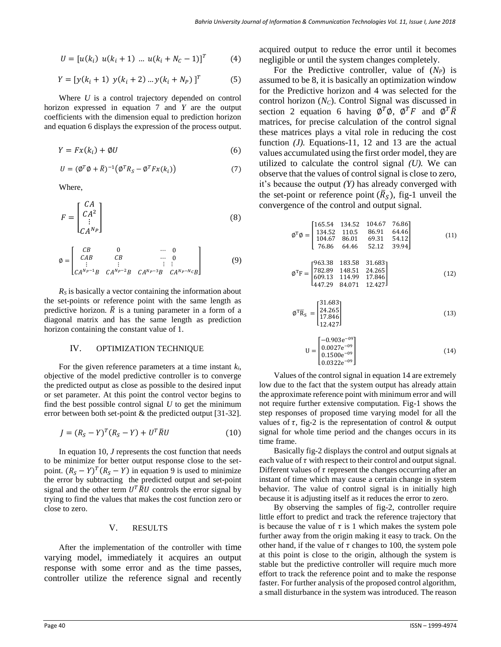$$
U = [u(k_i) \ u(k_i + 1) \ ... \ u(k_i + N_c - 1)]^T
$$
 (4)

$$
Y = [y(k_i + 1) y(k_i + 2) ... y(k_i + N_p)]^T
$$
 (5)

Where *U* is a control trajectory depended on control horizon expressed in equation 7 and *Y* are the output coefficients with the dimension equal to prediction horizon and equation 6 displays the expression of the process output.

$$
Y = Fx(k_i) + \emptyset U \tag{6}
$$

$$
U = (\emptyset^T \emptyset + \overline{R})^{-1} (\emptyset^T R_S - \emptyset^T F x(k_i))
$$
\n(7)

Where,

$$
F = \begin{bmatrix} CA \\ CA^2 \\ \vdots \\ CA^{N_P} \end{bmatrix}
$$
 (8)

$$
\emptyset = \begin{bmatrix} CB & 0 & \cdots & 0 \\ CAB & CB & \cdots & 0 \\ \vdots & \vdots & & \vdots \\ CA^{N_p-1}B & CA^{N_p-2}B & CA^{N_p-3}B & CA^{N_p-N_c}B \end{bmatrix}
$$
(9)

*R<sup>S</sup>* is basically a vector containing the information about the set-points or reference point with the same length as predictive horizon.  $\overline{R}$  is a tuning parameter in a form of a diagonal matrix and has the same length as prediction horizon containing the constant value of 1.

#### IV. OPTIMIZATION TECHNIQUE

For the given reference parameters at a time instant *ki*, objective of the model predictive controller is to converge the predicted output as close as possible to the desired input or set parameter. At this point the control vector begins to find the best possible control signal *U* to get the minimum error between both set-point & the predicted output [31-32].

$$
J = (R_S - Y)^T (R_S - Y) + U^T \overline{R} U \tag{10}
$$

In equation 10, *J* represents the cost function that needs to be minimize for better output response close to the setpoint.  $(R_S - Y)^T (R_S - Y)$  in equation 9 is used to minimize the error by subtracting the predicted output and set-point signal and the other term  $U^T \overline{R} U$  controls the error signal by trying to find the values that makes the cost function zero or close to zero.

### V. RESULTS

After the implementation of the controller with time varying model, immediately it acquires an output response with some error and as the time passes, controller utilize the reference signal and recently

acquired output to reduce the error until it becomes negligible or until the system changes completely.

For the Predictive controller, value of  $(N_P)$  is assumed to be 8, it is basically an optimization window for the Predictive horizon and 4 was selected for the control horizon (*NC*). Control Signal was discussed in section 2 equation 6 having  $\overline{\phi}^T \phi$ ,  $\phi^T F$  and  $\phi^T \overline{R}$ matrices, for precise calculation of the control signal these matrices plays a vital role in reducing the cost function  $(J)$ . Equations-11, 12 and 13 are the actual values accumulated using the first order model, they are utilized to calculate the control signal *(U).* We can observe that the values of control signal is close to zero, it's because the output *(Y)* has already converged with the set-point or reference point  $(\overline{R}_S)$ , fig-1 unveil the convergence of the control and output signal*.*

$$
\varnothing^T \varnothing = \begin{bmatrix} 165.54 & 134.52 & 104.67 & 76.86 \\ 134.52 & 110.5 & 86.91 & 64.46 \\ 104.67 & 86.01 & 69.31 & 54.12 \\ 76.86 & 64.46 & 52.12 & 39.94 \end{bmatrix} \tag{11}
$$

$$
\varnothing^{\mathrm{T}}\mathrm{F} = \begin{bmatrix} 963.38 & 183.58 & 31.683 \\ 782.89 & 148.51 & 24.265 \\ 609.13 & 114.99 & 17.846 \\ 447.29 & 84.071 & 12.427 \end{bmatrix}
$$
 (12)

$$
\varphi^{\mathrm{T}}\overline{\mathrm{R}}_{\mathrm{S}} = \begin{bmatrix} 31.683\\ 24.265\\ 17.846\\ 12.427 \end{bmatrix}
$$
 (13)

$$
U = \begin{bmatrix} -0.903e^{-09} \\ 0.0027e^{-09} \\ 0.1500e^{-09} \\ 0.0322e^{-09} \end{bmatrix}
$$
 (14)

Values of the control signal in equation 14 are extremely low due to the fact that the system output has already attain the approximate reference point with minimum error and will not require further extensive computation. Fig-1 shows the step responses of proposed time varying model for all the values of  $\tau$ , fig-2 is the representation of control & output signal for whole time period and the changes occurs in its time frame.

Basically fig-2 displays the control and output signals at each value of  $\tau$  with respect to their control and output signal. Different values of  $\tau$  represent the changes occurring after an instant of time which may cause a certain change in system behavior. The value of control signal is in initially high because it is adjusting itself as it reduces the error to zero.

By observing the samples of fig-2, controller require little effort to predict and track the reference trajectory that is because the value of  $\tau$  is 1 which makes the system pole further away from the origin making it easy to track. On the other hand, if the value of  $\tau$  changes to 100, the system pole at this point is close to the origin, although the system is stable but the predictive controller will require much more effort to track the reference point and to make the response faster. For further analysis of the proposed control algorithm, a small disturbance in the system was introduced. The reason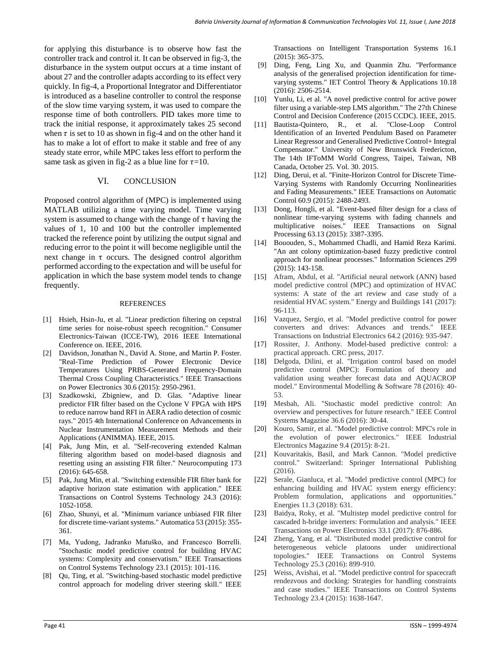for applying this disturbance is to observe how fast the controller track and control it. It can be observed in fig-3, the disturbance in the system output occurs at a time instant of about 27 and the controller adapts according to its effect very quickly. In fig-4, a Proportional Integrator and Differentiator is introduced as a baseline controller to control the response of the slow time varying system, it was used to compare the response time of both controllers. PID takes more time to track the initial response, it approximately takes 25 second when  $\tau$  is set to 10 as shown in fig-4 and on the other hand it has to make a lot of effort to make it stable and free of any steady state error, while MPC takes less effort to perform the same task as given in fig-2 as a blue line for  $\tau=10$ .

## VI. CONCLUSION

Proposed control algorithm of (MPC) is implemented using MATLAB utilizing a time varying model. Time varying system is assumed to change with the change of  $\tau$  having the values of 1, 10 and 100 but the controller implemented tracked the reference point by utilizing the output signal and reducing error to the point it will become negligible until the next change in  $\tau$  occurs. The designed control algorithm performed according to the expectation and will be useful for application in which the base system model tends to change frequently.

#### **REFERENCES**

- [1] Hsieh, Hsin-Ju, et al. "Linear prediction filtering on cepstral time series for noise-robust speech recognition." Consumer Electronics-Taiwan (ICCE-TW), 2016 IEEE International Conference on. IEEE, 2016.
- [2] Davidson, Jonathan N., David A. Stone, and Martin P. Foster. "Real-Time Prediction of Power Electronic Device Temperatures Using PRBS-Generated Frequency-Domain Thermal Cross Coupling Characteristics." IEEE Transactions on Power Electronics 30.6 (2015): 2950-2961.
- [3] Szadkowski, Zbigniew, and D. Glas. "Adaptive linear predictor FIR filter based on the Cyclone V FPGA with HPS to reduce narrow band RFI in AERA radio detection of cosmic rays." 2015 4th International Conference on Advancements in Nuclear Instrumentation Measurement Methods and their Applications (ANIMMA). IEEE, 2015.
- [4] Pak, Jung Min, et al. "Self-recovering extended Kalman filtering algorithm based on model-based diagnosis and resetting using an assisting FIR filter." Neurocomputing 173 (2016): 645-658.
- [5] Pak, Jung Min, et al. "Switching extensible FIR filter bank for adaptive horizon state estimation with application." IEEE Transactions on Control Systems Technology 24.3 (2016): 1052-1058.
- [6] Zhao, Shunyi, et al. "Minimum variance unbiased FIR filter for discrete time-variant systems." Automatica 53 (2015): 355- 361.
- [7] Ma, Yudong, Jadranko Matuško, and Francesco Borrelli. "Stochastic model predictive control for building HVAC systems: Complexity and conservatism." IEEE Transactions on Control Systems Technology 23.1 (2015): 101-116.
- [8] Qu, Ting, et al. "Switching-based stochastic model predictive control approach for modeling driver steering skill." IEEE

Transactions on Intelligent Transportation Systems 16.1 (2015): 365-375.

- [9] Ding, Feng, Ling Xu, and Quanmin Zhu. "Performance analysis of the generalised projection identification for timevarying systems." IET Control Theory & Applications 10.18 (2016): 2506-2514.
- [10] Yunlu, Li, et al. "A novel predictive control for active power filter using a variable-step LMS algorithm." The 27th Chinese Control and Decision Conference (2015 CCDC). IEEE, 2015.
- [11] Bautista-Quintero, R., et al. "Close-Loop Control Identification of an Inverted Pendulum Based on Parameter Linear Regressor and Generalised Predictive Control+ Integral Compensator." University of New Brunswick Fredericton, The 14th IFToMM World Congress, Taipei, Taiwan, NB Canada, October 25. Vol. 30. 2015.
- [12] Ding, Derui, et al. "Finite-Horizon Control for Discrete Time-Varying Systems with Randomly Occurring Nonlinearities and Fading Measurements." IEEE Transactions on Automatic Control 60.9 (2015): 2488-2493.
- [13] Dong, Hongli, et al. "Event-based filter design for a class of nonlinear time-varying systems with fading channels and multiplicative noises." IEEE Transactions on Signal Processing 63.13 (2015): 3387-3395.
- [14] Bououden, S., Mohammed Chadli, and Hamid Reza Karimi. "An ant colony optimization-based fuzzy predictive control approach for nonlinear processes." Information Sciences 299 (2015): 143-158.
- [15] Afram, Abdul, et al. "Artificial neural network (ANN) based model predictive control (MPC) and optimization of HVAC systems: A state of the art review and case study of a residential HVAC system." Energy and Buildings 141 (2017): 96-113.
- [16] Vazquez, Sergio, et al. "Model predictive control for power converters and drives: Advances and trends." IEEE Transactions on Industrial Electronics 64.2 (2016): 935-947.
- [17] Rossiter, J. Anthony. Model-based predictive control: a practical approach. CRC press, 2017.
- [18] Delgoda, Dilini, et al. "Irrigation control based on model predictive control (MPC): Formulation of theory and validation using weather forecast data and AQUACROP model." Environmental Modelling & Software 78 (2016): 40- 53.
- [19] Mesbah, Ali. "Stochastic model predictive control: An overview and perspectives for future research." IEEE Control Systems Magazine 36.6 (2016): 30-44.
- [20] Kouro, Samir, et al. "Model predictive control: MPC's role in the evolution of power electronics." IEEE Industrial Electronics Magazine 9.4 (2015): 8-21.
- [21] Kouvaritakis, Basil, and Mark Cannon. "Model predictive control." Switzerland: Springer International Publishing (2016).
- [22] Serale, Gianluca, et al. "Model predictive control (MPC) for enhancing building and HVAC system energy efficiency: Problem formulation, applications and opportunities." Energies 11.3 (2018): 631.
- [23] Baidya, Roky, et al. "Multistep model predictive control for cascaded h-bridge inverters: Formulation and analysis." IEEE Transactions on Power Electronics 33.1 (2017): 876-886.
- [24] Zheng, Yang, et al. "Distributed model predictive control for heterogeneous vehicle platoons under unidirectional topologies." IEEE Transactions on Control Systems Technology 25.3 (2016): 899-910.
- [25] Weiss, Avishai, et al. "Model predictive control for spacecraft rendezvous and docking: Strategies for handling constraints and case studies." IEEE Transactions on Control Systems Technology 23.4 (2015): 1638-1647.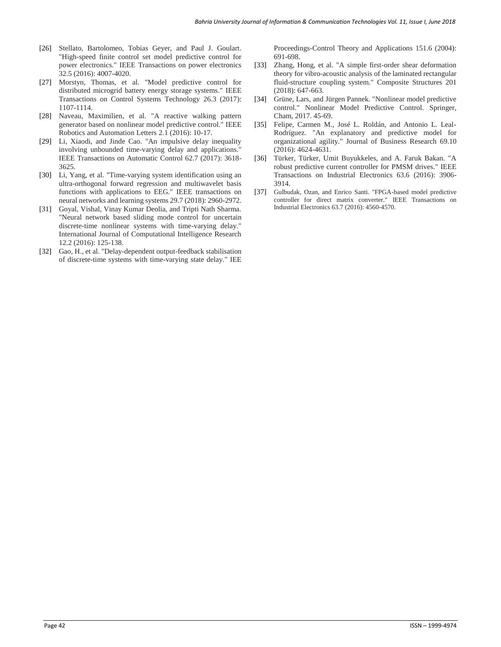- [26] Stellato, Bartolomeo, Tobias Geyer, and Paul J. Goulart. "High-speed finite control set model predictive control for power electronics." IEEE Transactions on power electronics 32.5 (2016): 4007-4020.
- [27] Morstyn, Thomas, et al. "Model predictive control for distributed microgrid battery energy storage systems." IEEE Transactions on Control Systems Technology 26.3 (2017): 1107-1114.
- [28] Naveau, Maximilien, et al. "A reactive walking pattern generator based on nonlinear model predictive control." IEEE Robotics and Automation Letters 2.1 (2016): 10-17.
- [29] Li, Xiaodi, and Jinde Cao. "An impulsive delay inequality involving unbounded time-varying delay and applications." IEEE Transactions on Automatic Control 62.7 (2017): 3618- 3625.
- [30] Li, Yang, et al. "Time-varying system identification using an ultra-orthogonal forward regression and multiwavelet basis functions with applications to EEG." IEEE transactions on neural networks and learning systems 29.7 (2018): 2960-2972.
- [31] Goyal, Vishal, Vinay Kumar Deolia, and Tripti Nath Sharma. "Neural network based sliding mode control for uncertain discrete-time nonlinear systems with time-varying delay." International Journal of Computational Intelligence Research 12.2 (2016): 125-138.
- [32] Gao, H., et al. "Delay-dependent output-feedback stabilisation of discrete-time systems with time-varying state delay." IEE

Proceedings-Control Theory and Applications 151.6 (2004): 691-698.

- [33] Zhang, Hong, et al. "A simple first-order shear deformation theory for vibro-acoustic analysis of the laminated rectangular fluid-structure coupling system." Composite Structures 201 (2018): 647-663.
- [34] Grüne, Lars, and Jürgen Pannek. "Nonlinear model predictive control." Nonlinear Model Predictive Control. Springer, Cham, 2017. 45-69.
- [35] Felipe, Carmen M., José L. Roldán, and Antonio L. Leal-Rodríguez. "An explanatory and predictive model for organizational agility." Journal of Business Research 69.10 (2016): 4624-4631.
- [36] Türker, Türker, Umit Buyukkeles, and A. Faruk Bakan. "A robust predictive current controller for PMSM drives." IEEE Transactions on Industrial Electronics 63.6 (2016): 3906- 3914.
- [37] Gulbudak, Ozan, and Enrico Santi. "FPGA-based model predictive controller for direct matrix converter." IEEE Transactions on Industrial Electronics 63.7 (2016): 4560-4570.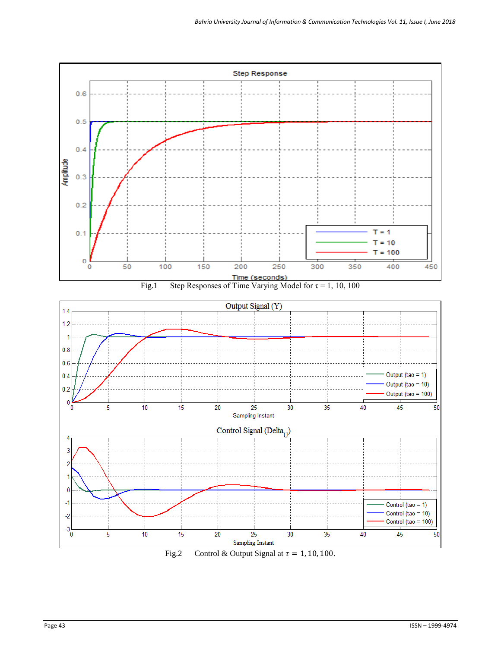

Fig.2 Control & Output Signal at  $\tau = 1, 10, 100$ .